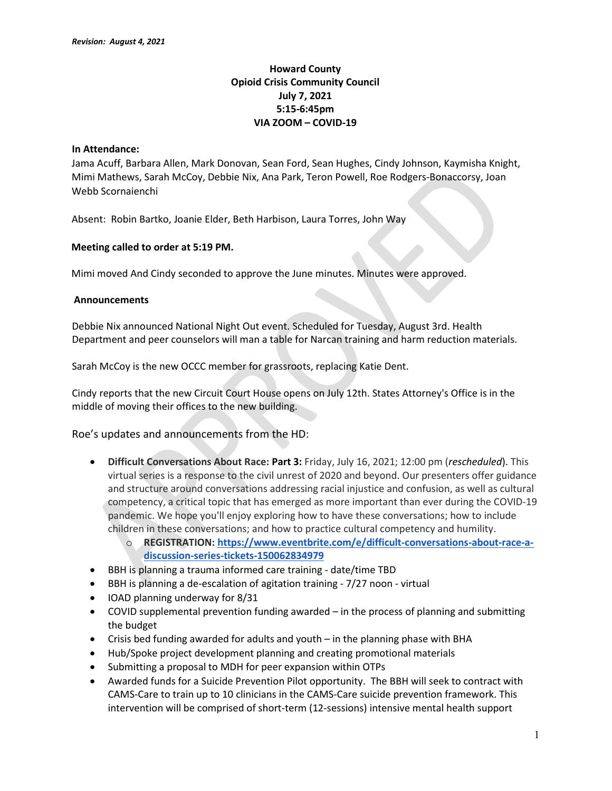# Howard County Opioid Crisis Community Council July 7, 2021 5:15-6:45pm VIA ZOOM – COVID-19

### In Attendance:

Jama Acuff, Barbara Allen, Mark Donovan, Sean Ford, Sean Hughes, Cindy Johnson, Kaymisha Knight, Mimi Mathews, Sarah McCoy, Debbie Nix, Ana Park, Teron Powell, Roe Rodgers-Bonaccorsy, Joan Webb Scornaienchi

Absent: Robin Bartko, Joanie Elder, Beth Harbison, Laura Torres, John Way

## Meeting called to order at 5:19 PM.

Mimi moved And Cindy seconded to approve the June minutes. Minutes were approved.

### Announcements

Debbie Nix announced National Night Out event. Scheduled for Tuesday, August 3rd. Health Department and peer counselors will man a table for Narcan training and harm reduction materials.

Sarah McCoy is the new OCCC member for grassroots, replacing Katie Dent.

Cindy reports that the new Circuit Court House opens on July 12th. States Attorney's Office is in the middle of moving their offices to the new building.

Roe's updates and announcements from the HD:

- Difficult Conversations About Race: Part 3: Friday, July 16, 2021; 12:00 pm (rescheduled). This virtual series is a response to the civil unrest of 2020 and beyond. Our presenters offer guidance and structure around conversations addressing racial injustice and confusion, as well as cultural competency, a critical topic that has emerged as more important than ever during the COVID-19 pandemic. We hope you'll enjoy exploring how to have these conversations; how to include children in these conversations; and how to practice cultural competency and humility.
	- o REGISTRATION: https://www.eventbrite.com/e/difficult-conversations-about-race-adiscussion-series-tickets-150062834979
- BBH is planning a trauma informed care training date/time TBD
- BBH is planning a de-escalation of agitation training 7/27 noon virtual
- IOAD planning underway for 8/31
- COVID supplemental prevention funding awarded in the process of planning and submitting the budget
- Crisis bed funding awarded for adults and youth in the planning phase with BHA
- Hub/Spoke project development planning and creating promotional materials
- Submitting a proposal to MDH for peer expansion within OTPs
- Awarded funds for a Suicide Prevention Pilot opportunity. The BBH will seek to contract with CAMS-Care to train up to 10 clinicians in the CAMS-Care suicide prevention framework. This intervention will be comprised of short-term (12-sessions) intensive mental health support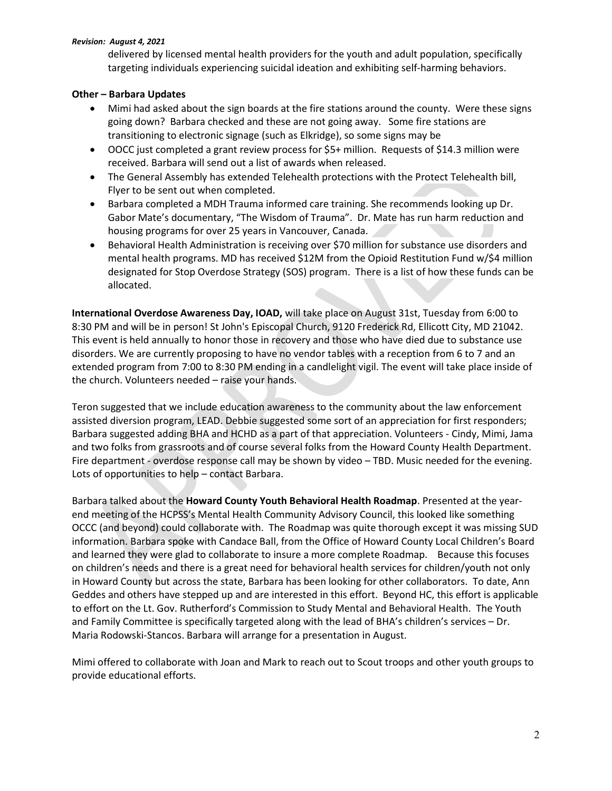#### Revision: August 4, 2021

delivered by licensed mental health providers for the youth and adult population, specifically targeting individuals experiencing suicidal ideation and exhibiting self-harming behaviors. 

# Other – Barbara Updates

- Mimi had asked about the sign boards at the fire stations around the county. Were these signs going down? Barbara checked and these are not going away. Some fire stations are transitioning to electronic signage (such as Elkridge), so some signs may be
- OOCC just completed a grant review process for \$5+ million. Requests of \$14.3 million were received. Barbara will send out a list of awards when released.
- The General Assembly has extended Telehealth protections with the Protect Telehealth bill, Flyer to be sent out when completed.
- Barbara completed a MDH Trauma informed care training. She recommends looking up Dr. Gabor Mate's documentary, "The Wisdom of Trauma". Dr. Mate has run harm reduction and housing programs for over 25 years in Vancouver, Canada.
- Behavioral Health Administration is receiving over \$70 million for substance use disorders and mental health programs. MD has received \$12M from the Opioid Restitution Fund w/\$4 million designated for Stop Overdose Strategy (SOS) program. There is a list of how these funds can be allocated.

International Overdose Awareness Day, IOAD, will take place on August 31st, Tuesday from 6:00 to 8:30 PM and will be in person! St John's Episcopal Church, 9120 Frederick Rd, Ellicott City, MD 21042. This event is held annually to honor those in recovery and those who have died due to substance use disorders. We are currently proposing to have no vendor tables with a reception from 6 to 7 and an extended program from 7:00 to 8:30 PM ending in a candlelight vigil. The event will take place inside of the church. Volunteers needed – raise your hands.

Teron suggested that we include education awareness to the community about the law enforcement assisted diversion program, LEAD. Debbie suggested some sort of an appreciation for first responders; Barbara suggested adding BHA and HCHD as a part of that appreciation. Volunteers - Cindy, Mimi, Jama and two folks from grassroots and of course several folks from the Howard County Health Department. Fire department - overdose response call may be shown by video – TBD. Music needed for the evening. Lots of opportunities to help – contact Barbara.

Barbara talked about the Howard County Youth Behavioral Health Roadmap. Presented at the yearend meeting of the HCPSS's Mental Health Community Advisory Council, this looked like something OCCC (and beyond) could collaborate with. The Roadmap was quite thorough except it was missing SUD information. Barbara spoke with Candace Ball, from the Office of Howard County Local Children's Board and learned they were glad to collaborate to insure a more complete Roadmap. Because this focuses on children's needs and there is a great need for behavioral health services for children/youth not only in Howard County but across the state, Barbara has been looking for other collaborators. To date, Ann Geddes and others have stepped up and are interested in this effort. Beyond HC, this effort is applicable to effort on the Lt. Gov. Rutherford's Commission to Study Mental and Behavioral Health. The Youth and Family Committee is specifically targeted along with the lead of BHA's children's services – Dr. Maria Rodowski-Stancos. Barbara will arrange for a presentation in August.

Mimi offered to collaborate with Joan and Mark to reach out to Scout troops and other youth groups to provide educational efforts.